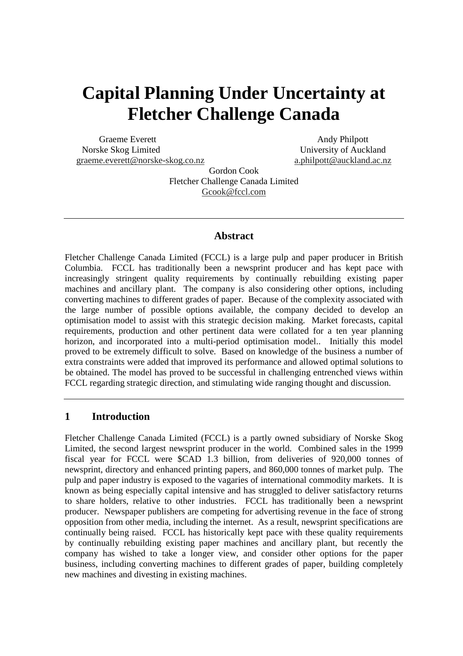# **Capital Planning Under Uncertainty at Fletcher Challenge Canada**

Graeme Everett Andy Philpott Norske Skog Limited University of Auckland graeme.everett@norske-skog.co.nz a.philpott@auckland.ac.nz

Gordon Cook Fletcher Challenge Canada Limited Gcook@fccl.com

# **Abstract**

Fletcher Challenge Canada Limited (FCCL) is a large pulp and paper producer in British Columbia. FCCL has traditionally been a newsprint producer and has kept pace with increasingly stringent quality requirements by continually rebuilding existing paper machines and ancillary plant. The company is also considering other options, including converting machines to different grades of paper. Because of the complexity associated with the large number of possible options available, the company decided to develop an optimisation model to assist with this strategic decision making. Market forecasts, capital requirements, production and other pertinent data were collated for a ten year planning horizon, and incorporated into a multi-period optimisation model.. Initially this model proved to be extremely difficult to solve. Based on knowledge of the business a number of extra constraints were added that improved its performance and allowed optimal solutions to be obtained. The model has proved to be successful in challenging entrenched views within FCCL regarding strategic direction, and stimulating wide ranging thought and discussion.

## **1 Introduction**

Fletcher Challenge Canada Limited (FCCL) is a partly owned subsidiary of Norske Skog Limited, the second largest newsprint producer in the world. Combined sales in the 1999 fiscal year for FCCL were \$CAD 1.3 billion, from deliveries of 920,000 tonnes of newsprint, directory and enhanced printing papers, and 860,000 tonnes of market pulp. The pulp and paper industry is exposed to the vagaries of international commodity markets. It is known as being especially capital intensive and has struggled to deliver satisfactory returns to share holders, relative to other industries. FCCL has traditionally been a newsprint producer. Newspaper publishers are competing for advertising revenue in the face of strong opposition from other media, including the internet. As a result, newsprint specifications are continually being raised. FCCL has historically kept pace with these quality requirements by continually rebuilding existing paper machines and ancillary plant, but recently the company has wished to take a longer view, and consider other options for the paper business, including converting machines to different grades of paper, building completely new machines and divesting in existing machines.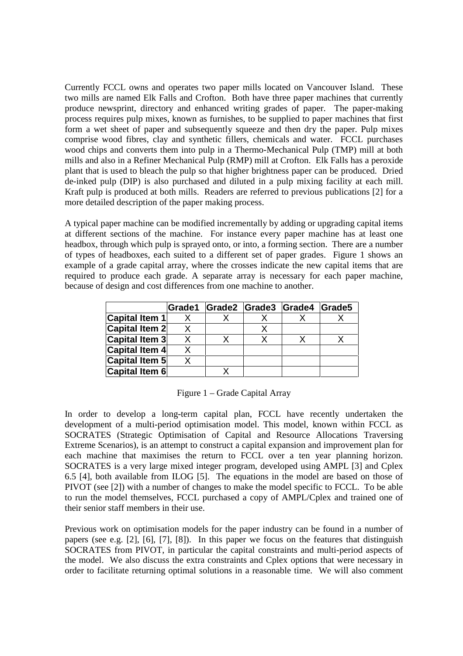Currently FCCL owns and operates two paper mills located on Vancouver Island. These two mills are named Elk Falls and Crofton. Both have three paper machines that currently produce newsprint, directory and enhanced writing grades of paper. The paper-making process requires pulp mixes, known as furnishes, to be supplied to paper machines that first form a wet sheet of paper and subsequently squeeze and then dry the paper. Pulp mixes comprise wood fibres, clay and synthetic fillers, chemicals and water. FCCL purchases wood chips and converts them into pulp in a Thermo-Mechanical Pulp (TMP) mill at both mills and also in a Refiner Mechanical Pulp (RMP) mill at Crofton. Elk Falls has a peroxide plant that is used to bleach the pulp so that higher brightness paper can be produced. Dried de-inked pulp (DIP) is also purchased and diluted in a pulp mixing facility at each mill. Kraft pulp is produced at both mills. Readers are referred to previous publications [2] for a more detailed description of the paper making process.

A typical paper machine can be modified incrementally by adding or upgrading capital items at different sections of the machine. For instance every paper machine has at least one headbox, through which pulp is sprayed onto, or into, a forming section. There are a number of types of headboxes, each suited to a different set of paper grades. Figure 1 shows an example of a grade capital array, where the crosses indicate the new capital items that are required to produce each grade. A separate array is necessary for each paper machine, because of design and cost differences from one machine to another.

|                       |  | Grade1 Grade2 Grade3 Grade4 Grade5 |  |
|-----------------------|--|------------------------------------|--|
| Capital Item 1        |  |                                    |  |
| Capital Item 2        |  |                                    |  |
| <b>Capital Item 3</b> |  |                                    |  |
| <b>Capital Item 4</b> |  |                                    |  |
| <b>Capital Item 5</b> |  |                                    |  |
| Capital Item 6        |  |                                    |  |

Figure 1 – Grade Capital Array

In order to develop a long-term capital plan, FCCL have recently undertaken the development of a multi-period optimisation model. This model, known within FCCL as SOCRATES (Strategic Optimisation of Capital and Resource Allocations Traversing Extreme Scenarios), is an attempt to construct a capital expansion and improvement plan for each machine that maximises the return to FCCL over a ten year planning horizon. SOCRATES is a very large mixed integer program, developed using AMPL [3] and Cplex 6.5 [4], both available from ILOG [5]. The equations in the model are based on those of PIVOT (see [2]) with a number of changes to make the model specific to FCCL. To be able to run the model themselves, FCCL purchased a copy of AMPL/Cplex and trained one of their senior staff members in their use.

Previous work on optimisation models for the paper industry can be found in a number of papers (see e.g. [2], [6], [7], [8]). In this paper we focus on the features that distinguish SOCRATES from PIVOT, in particular the capital constraints and multi-period aspects of the model. We also discuss the extra constraints and Cplex options that were necessary in order to facilitate returning optimal solutions in a reasonable time. We will also comment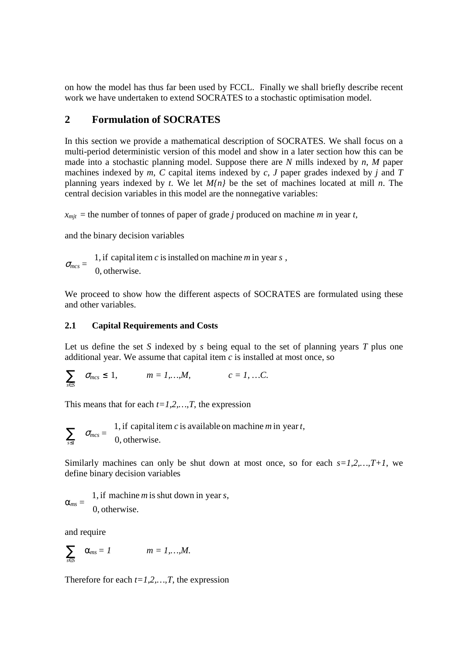on how the model has thus far been used by FCCL. Finally we shall briefly describe recent work we have undertaken to extend SOCRATES to a stochastic optimisation model.

# **2 Formulation of SOCRATES**

In this section we provide a mathematical description of SOCRATES. We shall focus on a multi-period deterministic version of this model and show in a later section how this can be made into a stochastic planning model. Suppose there are *N* mills indexed by *n*, *M* paper machines indexed by *m*, *C* capital items indexed by *c*, *J* paper grades indexed by *j* and *T* planning years indexed by *t*. We let *M{n}* be the set of machines located at mill *n*. The central decision variables in this model are the nonnegative variables:

 $x_{mit}$  = the number of tonnes of paper of grade *j* produced on machine *m* in year *t*,

and the binary decision variables

 $\sigma_{mcs} =$  $\mathsf{l}$ ₹  $\overline{\phantom{a}}$ 0, otherwise. 1, if capital item *c* isinstalled on machine *m* in year *s* ,

We proceed to show how the different aspects of SOCRATES are formulated using these and other variables.

## **2.1 Capital Requirements and Costs**

Let us define the set *S* indexed by *s* being equal to the set of planning years *T* plus one additional year. We assume that capital item *c* is installed at most once, so

$$
\sum_{s \in S} \quad \sigma_{mcs} \leq 1, \qquad m = 1,...,M, \qquad c = 1,...,C.
$$

This means that for each *t=1,2,…,T*, the expression

$$
\sum_{s \leq t} \quad \sigma_{mcs} = \begin{cases} 1, & \text{if capital item } c \text{ is available on machine } m \text{ in year } t, \\ 0, & \text{otherwise.} \end{cases}
$$

Similarly machines can only be shut down at most once, so for each  $s=1,2,...,T+1$ , we define binary decision variables

 $\alpha_{ms} =$  $\mathsf{l}$ ₹  $\overline{\phantom{a}}$ 0, otherwise. 1, if machine *m* isshut down in year *s*,

and require

$$
\sum_{s\in S} \quad \alpha_{ms}=1 \qquad m=1,...,M.
$$

Therefore for each  $t=1,2,...,T$ , the expression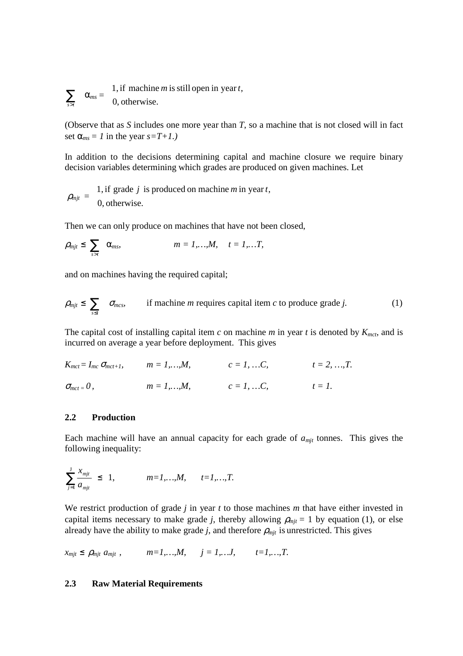$\sum_{s>t}$   $\alpha_{ms} =$  $\mathsf{L}$ ₹  $\overline{\phantom{a}}$ 0, otherwise. 1, if machine *m* isstill open in year *t*,

(Observe that as *S* includes one more year than *T*, so a machine that is not closed will in fact set  $\alpha_{ms} = 1$  in the year  $s = T + 1$ .)

In addition to the decisions determining capital and machine closure we require binary decision variables determining which grades are produced on given machines. Let

 $\rho_{mjt} =$  $\mathsf{l}$ ₹  $\overline{\phantom{a}}$ 0, otherwise. 1, if grade *j* is produced on machine *m* in year *t*,

Then we can only produce on machines that have not been closed,

$$
\rho_{mjt} \leq \sum_{s>t} \alpha_{mss}, \qquad m=1,...,M, \quad t=1,...T,
$$

and on machines having the required capital;

$$
\rho_{mjt} \leq \sum_{s \leq t} \sigma_{mcs}, \qquad \text{if machine } m \text{ requires capital item } c \text{ to produce grade } j. \tag{1}
$$

The capital cost of installing capital item  $c$  on machine  $m$  in year  $t$  is denoted by  $K_{mct}$ , and is incurred on average a year before deployment. This gives

 $K_{mct} = I_{mc} \sigma_{mct+1}$ ,  $m = 1,...,M$ ,  $c = 1, ...C$ ,  $t = 2, ..., T$ .

 $\sigma_{mct} = 0$ ,  $m = 1,...,M$ ,  $c = 1, ...C$ ,  $t = 1$ .

#### **2.2 Production**

Each machine will have an annual capacity for each grade of  $a<sub>mit</sub>$  tonnes. This gives the following inequality:

$$
\sum_{j=1}^{J} \frac{x_{mjt}}{a_{mjt}} \leq 1, \qquad m=1,...,M, \qquad t=1,...,T.
$$

We restrict production of grade *j* in year *t* to those machines *m* that have either invested in capital items necessary to make grade *j*, thereby allowing  $\rho_{mjt} = 1$  by equation (1), or else already have the ability to make grade *j*, and therefore  $\rho_{mit}$  is unrestricted. This gives

 $x_{mit} \le \rho_{mit} \ a_{mit}$ ,  $m=1,...,M, \qquad j=1,...J, \qquad t=1,...,T.$ 

## **2.3 Raw Material Requirements**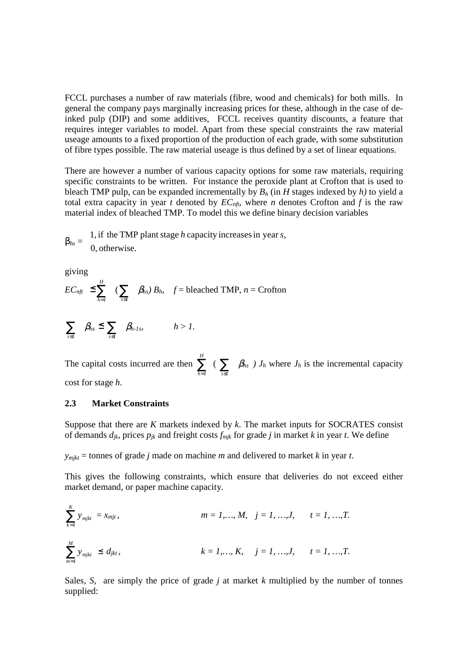FCCL purchases a number of raw materials (fibre, wood and chemicals) for both mills. In general the company pays marginally increasing prices for these, although in the case of deinked pulp (DIP) and some additives, FCCL receives quantity discounts, a feature that requires integer variables to model. Apart from these special constraints the raw material useage amounts to a fixed proportion of the production of each grade, with some substitution of fibre types possible. The raw material useage is thus defined by a set of linear equations.

There are however a number of various capacity options for some raw materials, requiring specific constraints to be written. For instance the peroxide plant at Crofton that is used to bleach TMP pulp, can be expanded incrementally by *B<sup>h</sup>* (in *H* stages indexed by *h)* to yield a total extra capacity in year *t* denoted by  $EC<sub>nf</sub>$ , where *n* denotes Crofton and *f* is the raw material index of bleached TMP. To model this we define binary decision variables

 $\beta_{hs}$   $=$  $\mathsf{L}$ ₹  $\mathbf{I}$ 0, otherwise. 1, if the TMP plant stage *h* capacity increasesin year *s*,

giving

$$
EC_{nft} \leq \sum_{h=1}^{H} (\sum_{s \leq t} \beta_{hs}) B_h
$$
  $f = \text{bleached TMP}, n = \text{Crofton}$ 

$$
\sum_{s\leq t} \beta_{hs} \leq \sum_{s\leq t} \beta_{h\text{-}1s}, \qquad h>1.
$$

The capital costs incurred are then  $\sum_{h=1}^{H}$  $\sum_{h=1}$  ( $\sum_{s \le t} \beta_{hs}$ ) *J<sub>h</sub>* where *J<sub>h</sub>* is the incremental capacity cost for stage *h*.

## **2.3 Market Constraints**

Suppose that there are *K* markets indexed by *k*. The market inputs for SOCRATES consist of demands  $d_{jk}$ , prices  $p_{jk}$  and freight costs  $f_{mjk}$  for grade *j* in market *k* in year *t*. We define

 $y_{mikt}$  = tonnes of grade *j* made on machine *m* and delivered to market *k* in year *t*.

This gives the following constraints, which ensure that deliveries do not exceed either market demand, or paper machine capacity.

$$
\sum_{k=1}^{K} y_{mjkt} = x_{mjt}, \qquad m = 1,..., M, \quad j = 1, ..., J, \qquad t = 1, ..., T.
$$
\n
$$
\sum_{m=1}^{M} y_{mjkt} \le d_{jkt}, \qquad k = 1,..., K, \quad j = 1, ..., J, \qquad t = 1, ..., T.
$$

Sales, *S*, are simply the price of grade *j* at market *k* multiplied by the number of tonnes supplied: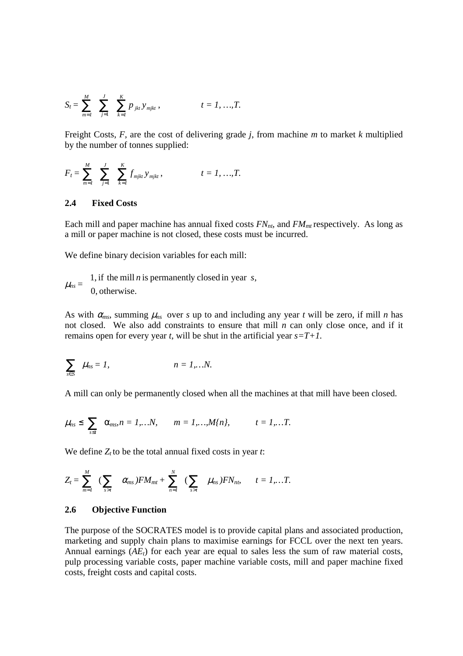$$
S_t = \sum_{m=1}^M \sum_{j=1}^J \sum_{k=1}^K p_{jkt} y_{mjkt}, \qquad t = 1, ..., T.
$$

Freight Costs, *F*, are the cost of delivering grade *j*, from machine *m* to market *k* multiplied by the number of tonnes supplied:

$$
F_t = \sum_{m=1}^M \sum_{j=1}^J \sum_{k=1}^K f_{mjkt} y_{mjkt}, \qquad t = 1, ..., T.
$$

## **2.4 Fixed Costs**

Each mill and paper machine has annual fixed costs *FNnt*, and *FMmt* respectively. As long as a mill or paper machine is not closed, these costs must be incurred.

We define binary decision variables for each mill:

 $\mu_{ns} =$  $\mathsf{L}$ ₹  $\mathsf{I}$ 0, otherwise. 1, if the mill *n* is permanently closed in year *s*,

As with  $\alpha_{ms}$ , summing  $\mu_{ns}$  over *s* up to and including any year *t* will be zero, if mill *n* has not closed. We also add constraints to ensure that mill *n* can only close once, and if it remains open for every year *t*, will be shut in the artificial year *s=T+1.*

$$
\sum_{s\in S}\mu_{ns}=1,\qquad\qquad n=1,...N.
$$

A mill can only be permanently closed when all the machines at that mill have been closed.

$$
\mu_{ns} \leq \sum_{s \leq t} \alpha_{ms}, n = 1,...N, \qquad m = 1,...,M\{n\}, \qquad t = 1,...T.
$$

We define  $Z_t$  to be the total annual fixed costs in year *t*:

$$
Z_t = \sum_{m=1}^M \left( \sum_{s>t} \alpha_{ms} \right) F M_{mt} + \sum_{n=1}^N \left( \sum_{s>t} \mu_{ns} \right) F N_{nt}, \quad t = 1,...T.
$$

#### **2.6 Objective Function**

The purpose of the SOCRATES model is to provide capital plans and associated production, marketing and supply chain plans to maximise earnings for FCCL over the next ten years. Annual earnings (*AEt*) for each year are equal to sales less the sum of raw material costs, pulp processing variable costs, paper machine variable costs, mill and paper machine fixed costs, freight costs and capital costs.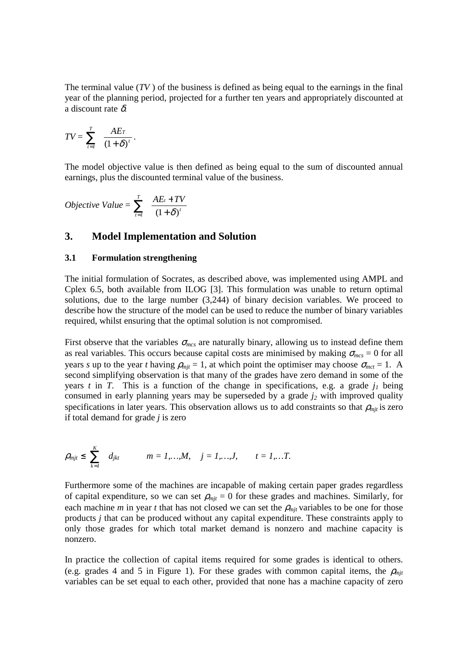The terminal value (*TV* ) of the business is defined as being equal to the earnings in the final year of the planning period, projected for a further ten years and appropriately discounted at a discount rate  $\delta$ .

$$
TV = \sum_{t=1}^T \frac{AE_T}{(1+\delta)^t}.
$$

The model objective value is then defined as being equal to the sum of discounted annual earnings, plus the discounted terminal value of the business.

$$
Objective Value = \sum_{t=1}^{T} \frac{AE_t + TV}{(1+\delta)^t}
$$

## **3. Model Implementation and Solution**

#### **3.1 Formulation strengthening**

The initial formulation of Socrates, as described above, was implemented using AMPL and Cplex 6.5, both available from ILOG [3]. This formulation was unable to return optimal solutions, due to the large number (3,244) of binary decision variables. We proceed to describe how the structure of the model can be used to reduce the number of binary variables required, whilst ensuring that the optimal solution is not compromised.

First observe that the variables  $\sigma_{mcs}$  are naturally binary, allowing us to instead define them as real variables. This occurs because capital costs are minimised by making  $\sigma_{mcs} = 0$  for all years *s* up to the year *t* having  $\rho_{mit} = 1$ , at which point the optimiser may choose  $\sigma_{met} = 1$ . A second simplifying observation is that many of the grades have zero demand in some of the years *t* in *T*. This is a function of the change in specifications, e.g. a grade *j<sup>1</sup>* being consumed in early planning years may be superseded by a grade *j<sup>2</sup>* with improved quality specifications in later years. This observation allows us to add constraints so that  $\rho_{mji}$  is zero if total demand for grade *j* is zero

$$
\rho_{mjt} \leq \sum_{k=1}^K d_{jkt} \qquad m = 1,...,M, \quad j = 1,...,J, \qquad t = 1,...T.
$$

Furthermore some of the machines are incapable of making certain paper grades regardless of capital expenditure, so we can set  $\rho_{mjt} = 0$  for these grades and machines. Similarly, for each machine *m* in year *t* that has not closed we can set the  $\rho_{mit}$  variables to be one for those products *j* that can be produced without any capital expenditure. These constraints apply to only those grades for which total market demand is nonzero and machine capacity is nonzero.

In practice the collection of capital items required for some grades is identical to others. (e.g. grades 4 and 5 in Figure 1). For these grades with common capital items, the  $\rho_{mit}$ variables can be set equal to each other, provided that none has a machine capacity of zero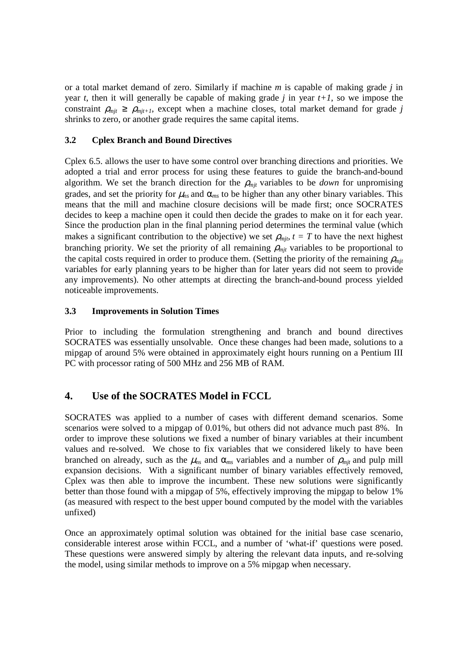or a total market demand of zero. Similarly if machine *m* is capable of making grade *j* in year *t*, then it will generally be capable of making grade *j* in year  $t+1$ , so we impose the constraint  $\rho_{mit} \ge \rho_{mit+1}$ , except when a machine closes, total market demand for grade *j* shrinks to zero, or another grade requires the same capital items.

## **3.2 Cplex Branch and Bound Directives**

Cplex 6.5. allows the user to have some control over branching directions and priorities. We adopted a trial and error process for using these features to guide the branch-and-bound algorithm. We set the branch direction for the  $\rho_{mit}$  variables to be *down* for unpromising grades, and set the priority for  $\mu_{ns}$  and  $\alpha_{ms}$  to be higher than any other binary variables. This means that the mill and machine closure decisions will be made first; once SOCRATES decides to keep a machine open it could then decide the grades to make on it for each year. Since the production plan in the final planning period determines the terminal value (which makes a significant contribution to the objective) we set  $\rho_{mjk}$ ,  $t = T$  to have the next highest branching priority. We set the priority of all remaining  $\rho_{mit}$  variables to be proportional to the capital costs required in order to produce them. (Setting the priority of the remaining  $\rho_{mit}$ variables for early planning years to be higher than for later years did not seem to provide any improvements). No other attempts at directing the branch-and-bound process yielded noticeable improvements.

## **3.3 Improvements in Solution Times**

Prior to including the formulation strengthening and branch and bound directives SOCRATES was essentially unsolvable. Once these changes had been made, solutions to a mipgap of around 5% were obtained in approximately eight hours running on a Pentium III PC with processor rating of 500 MHz and 256 MB of RAM.

# **4. Use of the SOCRATES Model in FCCL**

SOCRATES was applied to a number of cases with different demand scenarios. Some scenarios were solved to a mipgap of 0.01%, but others did not advance much past 8%. In order to improve these solutions we fixed a number of binary variables at their incumbent values and re-solved. We chose to fix variables that we considered likely to have been branched on already, such as the  $\mu_{ns}$  and  $\alpha_{ms}$  variables and a number of  $\rho_{mjt}$  and pulp mill expansion decisions. With a significant number of binary variables effectively removed, Cplex was then able to improve the incumbent. These new solutions were significantly better than those found with a mipgap of 5%, effectively improving the mipgap to below 1% (as measured with respect to the best upper bound computed by the model with the variables unfixed)

Once an approximately optimal solution was obtained for the initial base case scenario, considerable interest arose within FCCL, and a number of 'what-if' questions were posed. These questions were answered simply by altering the relevant data inputs, and re-solving the model, using similar methods to improve on a 5% mipgap when necessary.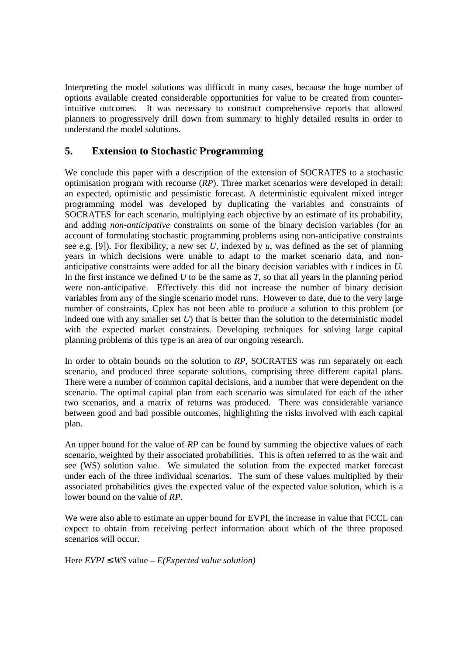Interpreting the model solutions was difficult in many cases, because the huge number of options available created considerable opportunities for value to be created from counterintuitive outcomes. It was necessary to construct comprehensive reports that allowed planners to progressively drill down from summary to highly detailed results in order to understand the model solutions.

# **5. Extension to Stochastic Programming**

We conclude this paper with a description of the extension of SOCRATES to a stochastic optimisation program with recourse (*RP*). Three market scenarios were developed in detail: an expected, optimistic and pessimistic forecast. A deterministic equivalent mixed integer programming model was developed by duplicating the variables and constraints of SOCRATES for each scenario, multiplying each objective by an estimate of its probability, and adding *non-anticipative* constraints on some of the binary decision variables (for an account of formulating stochastic programming problems using non-anticipative constraints see e.g. [9]). For flexibility, a new set *U*, indexed by *u*, was defined as the set of planning years in which decisions were unable to adapt to the market scenario data, and nonanticipative constraints were added for all the binary decision variables with *t* indices in *U*. In the first instance we defined *U* to be the same as *T*, so that all years in the planning period were non-anticipative. Effectively this did not increase the number of binary decision variables from any of the single scenario model runs. However to date, due to the very large number of constraints, Cplex has not been able to produce a solution to this problem (or indeed one with any smaller set *U*) that is better than the solution to the deterministic model with the expected market constraints. Developing techniques for solving large capital planning problems of this type is an area of our ongoing research.

In order to obtain bounds on the solution to *RP*, SOCRATES was run separately on each scenario, and produced three separate solutions, comprising three different capital plans. There were a number of common capital decisions, and a number that were dependent on the scenario. The optimal capital plan from each scenario was simulated for each of the other two scenarios, and a matrix of returns was produced. There was considerable variance between good and bad possible outcomes, highlighting the risks involved with each capital plan.

An upper bound for the value of *RP* can be found by summing the objective values of each scenario, weighted by their associated probabilities. This is often referred to as the wait and see (WS) solution value. We simulated the solution from the expected market forecast under each of the three individual scenarios. The sum of these values multiplied by their associated probabilities gives the expected value of the expected value solution, which is a lower bound on the value of *RP*.

We were also able to estimate an upper bound for EVPI, the increase in value that FCCL can expect to obtain from receiving perfect information about which of the three proposed scenarios will occur.

Here  $EVPI \le WS$  value –  $E(Expected$  *value solution*)